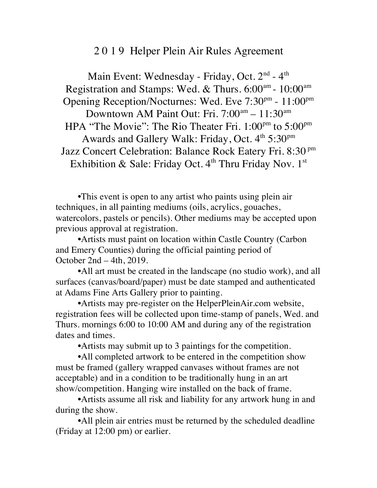## 2 0 1 9 Helper Plein Air Rules Agreement

Main Event: Wednesday - Friday, Oct. 2<sup>nd</sup> - 4<sup>th</sup> Registration and Stamps: Wed. & Thurs. 6:00<sup>am</sup> - 10:00<sup>am</sup> Opening Reception/Nocturnes: Wed. Eve 7:30<sup>pm</sup> - 11:00<sup>pm</sup> Downtown AM Paint Out: Fri. 7:00<sup>am</sup> - 11:30<sup>am</sup> HPA "The Movie": The Rio Theater Fri. 1:00<sup>pm</sup> to 5:00<sup>pm</sup> Awards and Gallery Walk: Friday, Oct. 4th 5:30pm Jazz Concert Celebration: Balance Rock Eatery Fri. 8:30 pm Exhibition & Sale: Friday Oct.  $4<sup>th</sup>$  Thru Friday Nov.  $1<sup>st</sup>$ 

•This event is open to any artist who paints using plein air techniques, in all painting mediums (oils, acrylics, gouaches, watercolors, pastels or pencils). Other mediums may be accepted upon previous approval at registration.

•Artists must paint on location within Castle Country (Carbon and Emery Counties) during the official painting period of October 2nd – 4th, 2019.

•All art must be created in the landscape (no studio work), and all surfaces (canvas/board/paper) must be date stamped and authenticated at Adams Fine Arts Gallery prior to painting.

•Artists may pre-register on the HelperPleinAir.com website, registration fees will be collected upon time-stamp of panels, Wed. and Thurs. mornings 6:00 to 10:00 AM and during any of the registration dates and times.

•Artists may submit up to 3 paintings for the competition.

•All completed artwork to be entered in the competition show must be framed (gallery wrapped canvases without frames are not acceptable) and in a condition to be traditionally hung in an art show/competition. Hanging wire installed on the back of frame.

•Artists assume all risk and liability for any artwork hung in and during the show.

•All plein air entries must be returned by the scheduled deadline (Friday at 12:00 pm) or earlier.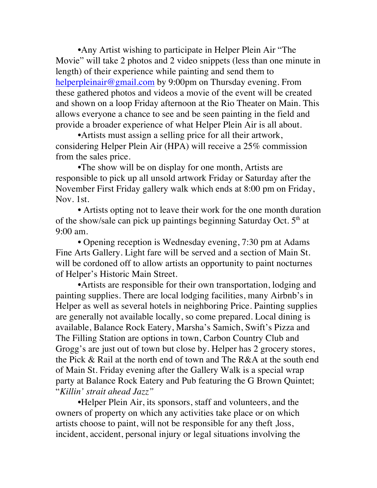•Any Artist wishing to participate in Helper Plein Air "The Movie" will take 2 photos and 2 video snippets (less than one minute in length) of their experience while painting and send them to helperpleinair@gmail.com by 9:00pm on Thursday evening. From these gathered photos and videos a movie of the event will be created and shown on a loop Friday afternoon at the Rio Theater on Main. This allows everyone a chance to see and be seen painting in the field and provide a broader experience of what Helper Plein Air is all about.

•Artists must assign a selling price for all their artwork, considering Helper Plein Air (HPA) will receive a 25% commission from the sales price.

•The show will be on display for one month, Artists are responsible to pick up all unsold artwork Friday or Saturday after the November First Friday gallery walk which ends at 8:00 pm on Friday, Nov. 1st.

• Artists opting not to leave their work for the one month duration of the show/sale can pick up paintings beginning Saturday Oct.  $5<sup>th</sup>$  at 9:00 am.

• Opening reception is Wednesday evening, 7:30 pm at Adams Fine Arts Gallery. Light fare will be served and a section of Main St. will be cordoned off to allow artists an opportunity to paint nocturnes of Helper's Historic Main Street.

•Artists are responsible for their own transportation, lodging and painting supplies. There are local lodging facilities, many Airbnb's in Helper as well as several hotels in neighboring Price. Painting supplies are generally not available locally, so come prepared. Local dining is available, Balance Rock Eatery, Marsha's Samich, Swift's Pizza and The Filling Station are options in town, Carbon Country Club and Grogg's are just out of town but close by. Helper has 2 grocery stores, the Pick & Rail at the north end of town and The R&A at the south end of Main St. Friday evening after the Gallery Walk is a special wrap party at Balance Rock Eatery and Pub featuring the G Brown Quintet; "*Killin' strait ahead Jazz"*

•Helper Plein Air, its sponsors, staff and volunteers, and the owners of property on which any activities take place or on which artists choose to paint, will not be responsible for any theft ,loss, incident, accident, personal injury or legal situations involving the